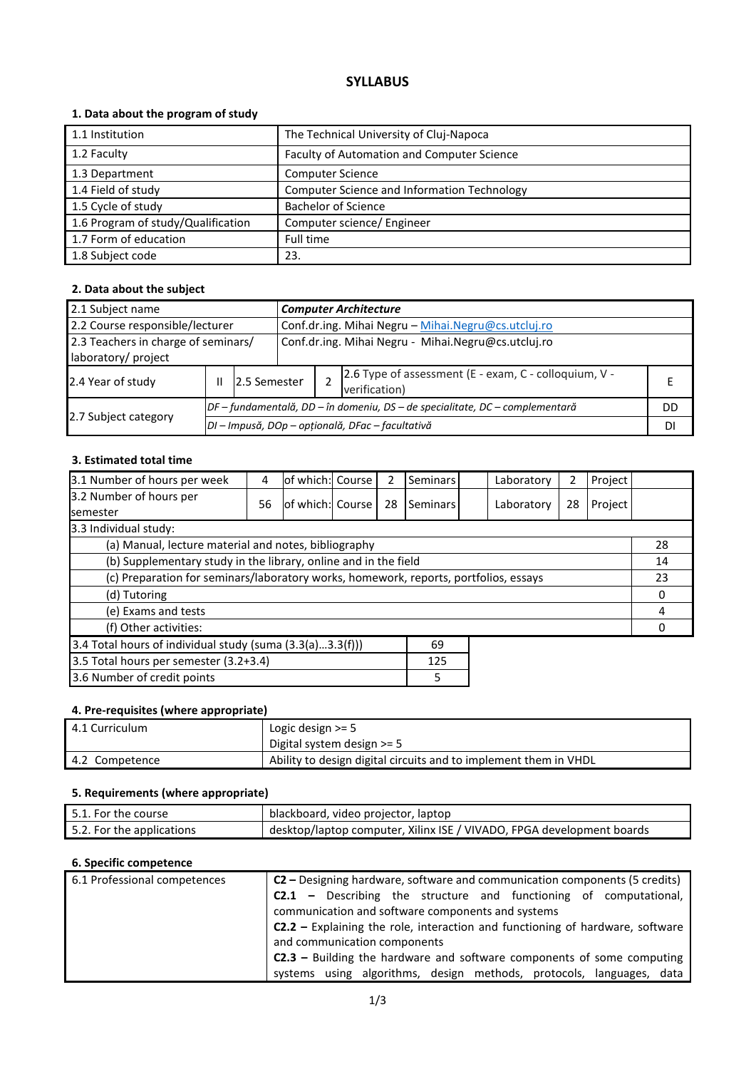# **SYLLABUS**

# **1. Data about the program of study**

| 1.1 Institution                    | The Technical University of Cluj-Napoca     |
|------------------------------------|---------------------------------------------|
|                                    |                                             |
| 1.2 Faculty                        | Faculty of Automation and Computer Science  |
| 1.3 Department                     | <b>Computer Science</b>                     |
| 1.4 Field of study                 | Computer Science and Information Technology |
| 1.5 Cycle of study                 | <b>Bachelor of Science</b>                  |
| 1.6 Program of study/Qualification | Computer science/ Engineer                  |
| 1.7 Form of education              | Full time                                   |
| 1.8 Subject code                   | 23.                                         |

# **2. Data about the subject**

| 2.1 Subject name                                                                                                  |   |              |  | <b>Computer Architecture</b>                        |                                                                              |           |  |  |
|-------------------------------------------------------------------------------------------------------------------|---|--------------|--|-----------------------------------------------------|------------------------------------------------------------------------------|-----------|--|--|
| 2.2 Course responsible/lecturer                                                                                   |   |              |  | Conf.dr.ing. Mihai Negru - Mihai.Negru@cs.utcluj.ro |                                                                              |           |  |  |
| Conf.dr.ing. Mihai Negru - Mihai.Negru@cs.utcluj.ro<br>2.3 Teachers in charge of seminars/<br>laboratory/ project |   |              |  |                                                     |                                                                              |           |  |  |
| 2.4 Year of study                                                                                                 | Ш | 2.5 Semester |  |                                                     | 2.6 Type of assessment (E - exam, C - colloquium, V -<br>verification)       |           |  |  |
|                                                                                                                   |   |              |  |                                                     | DF – fundamentală, DD – în domeniu, DS – de specialitate, DC – complementară | <b>DD</b> |  |  |
| 2.7 Subject category                                                                                              |   |              |  |                                                     | DI - Impusă, DOp - opțională, DFac - facultativă                             | DI        |  |  |

### **3. Estimated total time**

| 3.1 Number of hours per week                                                         | 4  | of which: Course |  | 2  | Seminars |  | Laboratory | 2  | Project |    |
|--------------------------------------------------------------------------------------|----|------------------|--|----|----------|--|------------|----|---------|----|
| 3.2 Number of hours per<br><b>semester</b>                                           | 56 | of which: Course |  | 28 | Seminars |  | Laboratory | 28 | Project |    |
| 3.3 Individual study:                                                                |    |                  |  |    |          |  |            |    |         |    |
| (a) Manual, lecture material and notes, bibliography                                 |    |                  |  |    |          |  |            |    |         | 28 |
| (b) Supplementary study in the library, online and in the field                      |    |                  |  |    |          |  | 14         |    |         |    |
| (c) Preparation for seminars/laboratory works, homework, reports, portfolios, essays |    |                  |  |    |          |  | 23         |    |         |    |
| (d) Tutoring                                                                         |    |                  |  |    |          |  | 0          |    |         |    |
| (e) Exams and tests                                                                  |    |                  |  |    |          |  |            | 4  |         |    |
| (f) Other activities:                                                                |    |                  |  |    |          |  |            |    |         |    |
| 3.4 Total hours of individual study (suma (3.3(a)3.3(f)))<br>69                      |    |                  |  |    |          |  |            |    |         |    |
| 3.5 Total hours per semester (3.2+3.4)<br>125                                        |    |                  |  |    |          |  |            |    |         |    |
| 3.6 Number of credit points<br>5                                                     |    |                  |  |    |          |  |            |    |         |    |

### **4. Pre-requisites (where appropriate)**

| 4.1 Curriculum | Logic design $>= 5$<br>Digital system design $>= 5$              |
|----------------|------------------------------------------------------------------|
| 4.2 Competence | Ability to design digital circuits and to implement them in VHDL |

# **5. Requirements (where appropriate)**

| $\mid$ 5.1. For the course | blackboard, video projector, laptop                                   |
|----------------------------|-----------------------------------------------------------------------|
| 5.2. For the applications  | desktop/laptop computer, Xilinx ISE / VIVADO, FPGA development boards |

# **6. Specific competence**

| 6.1 Professional competences | <b>C2</b> – Designing hardware, software and communication components (5 credits) |  |  |  |  |  |  |
|------------------------------|-----------------------------------------------------------------------------------|--|--|--|--|--|--|
|                              | <b>C2.1</b> – Describing the structure and functioning of computational,          |  |  |  |  |  |  |
|                              | communication and software components and systems                                 |  |  |  |  |  |  |
|                              | $C2.2$ – Explaining the role, interaction and functioning of hardware, software   |  |  |  |  |  |  |
|                              | and communication components                                                      |  |  |  |  |  |  |
|                              | <b>C2.3</b> – Building the hardware and software components of some computing     |  |  |  |  |  |  |
|                              | systems using algorithms, design methods, protocols, languages, data              |  |  |  |  |  |  |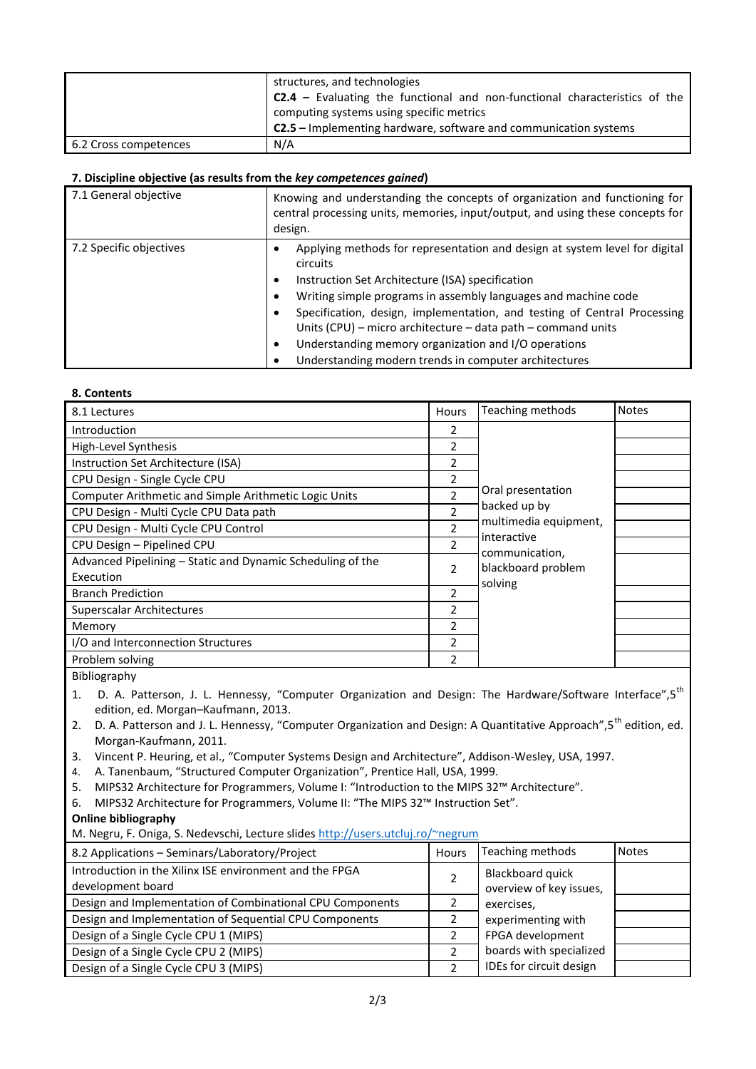|                       | structures, and technologies<br>$C2.4$ – Evaluating the functional and non-functional characteristics of the<br>computing systems using specific metrics |
|-----------------------|----------------------------------------------------------------------------------------------------------------------------------------------------------|
|                       | <b>C2.5</b> – Implementing hardware, software and communication systems                                                                                  |
| 6.2 Cross competences | N/A                                                                                                                                                      |

### **7. Discipline objective (as results from the** *key competences gained***)**

| 7.1 General objective   | Knowing and understanding the concepts of organization and functioning for<br>central processing units, memories, input/output, and using these concepts for<br>design.                                                                                                                                                                                                                                                                                                                  |
|-------------------------|------------------------------------------------------------------------------------------------------------------------------------------------------------------------------------------------------------------------------------------------------------------------------------------------------------------------------------------------------------------------------------------------------------------------------------------------------------------------------------------|
| 7.2 Specific objectives | Applying methods for representation and design at system level for digital<br>circuits<br>Instruction Set Architecture (ISA) specification<br>٠<br>Writing simple programs in assembly languages and machine code<br>٠<br>Specification, design, implementation, and testing of Central Processing<br>Units (CPU) – micro architecture – data path – command units<br>Understanding memory organization and I/O operations<br>٠<br>Understanding modern trends in computer architectures |

#### **8. Contents**

| 8.1 Lectures                                               | Hours                    | Teaching methods                     | <b>Notes</b> |
|------------------------------------------------------------|--------------------------|--------------------------------------|--------------|
| Introduction                                               | 2                        |                                      |              |
| High-Level Synthesis                                       | 2                        |                                      |              |
| Instruction Set Architecture (ISA)                         | 2                        |                                      |              |
| CPU Design - Single Cycle CPU                              | 2                        |                                      |              |
| Computer Arithmetic and Simple Arithmetic Logic Units      | $\overline{\phantom{a}}$ | Oral presentation                    |              |
| CPU Design - Multi Cycle CPU Data path                     | $\mathcal{P}$            | backed up by                         |              |
| CPU Design - Multi Cycle CPU Control                       | 2                        | multimedia equipment,<br>interactive |              |
| CPU Design - Pipelined CPU                                 | 2                        | communication,                       |              |
| Advanced Pipelining - Static and Dynamic Scheduling of the | $\overline{\phantom{a}}$ | blackboard problem                   |              |
| Execution                                                  |                          | solving                              |              |
| <b>Branch Prediction</b>                                   | 2                        |                                      |              |
| Superscalar Architectures                                  | $\overline{\phantom{a}}$ |                                      |              |
| Memory                                                     | 2                        |                                      |              |
| I/O and Interconnection Structures                         | $\overline{\phantom{a}}$ |                                      |              |
| Problem solving                                            | 2                        |                                      |              |

Bibliography

1. D. A. Patterson, J. L. Hennessy, "Computer Organization and Design: The Hardware/Software Interface",5<sup>th</sup> edition, ed. Morgan–Kaufmann, 2013.

- 2. D. A. Patterson and J. L. Hennessy, "Computer Organization and Design: A Quantitative Approach",5<sup>th</sup> edition, ed. Morgan-Kaufmann, 2011.
- 3. Vincent P. Heuring, et al., "Computer Systems Design and Architecture", Addison-Wesley, USA, 1997.
- 4. A. Tanenbaum, "Structured Computer Organization", Prentice Hall, USA, 1999.
- 5. MIPS32 Architecture for Programmers, Volume I: "Introduction to the MIPS 32™ Architecture".
- 6. MIPS32 Architecture for Programmers, Volume II: "The MIPS 32™ Instruction Set".

#### **Online bibliography**

M. Negru, F. Oniga, S. Nedevschi, Lecture slides <http://users.utcluj.ro/~negrum>

| 8.2 Applications - Seminars/Laboratory/Project                               | Hours | Teaching methods                            | <b>Notes</b> |
|------------------------------------------------------------------------------|-------|---------------------------------------------|--------------|
| Introduction in the Xilinx ISE environment and the FPGA<br>development board |       | Blackboard quick<br>overview of key issues, |              |
| Design and Implementation of Combinational CPU Components                    |       | exercises,                                  |              |
| Design and Implementation of Sequential CPU Components                       |       | experimenting with                          |              |
| Design of a Single Cycle CPU 1 (MIPS)                                        |       | FPGA development                            |              |
| Design of a Single Cycle CPU 2 (MIPS)                                        |       | boards with specialized                     |              |
| Design of a Single Cycle CPU 3 (MIPS)                                        |       | IDEs for circuit design                     |              |